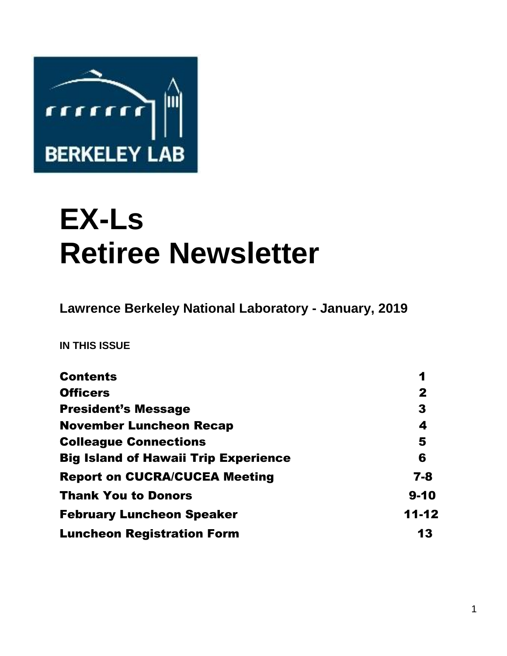

# **EX-Ls Retiree Newsletter**

**Lawrence Berkeley National Laboratory - January, 2019** 

**IN THIS ISSUE** 

| <b>Contents</b>                             | 1            |
|---------------------------------------------|--------------|
| <b>Officers</b>                             | $\mathbf{2}$ |
| <b>President's Message</b>                  | 3            |
| <b>November Luncheon Recap</b>              | 4            |
| <b>Colleague Connections</b>                | 5            |
| <b>Big Island of Hawaii Trip Experience</b> | 6            |
| <b>Report on CUCRA/CUCEA Meeting</b>        | $7 - 8$      |
| <b>Thank You to Donors</b>                  | $9 - 10$     |
| <b>February Luncheon Speaker</b>            | $11 - 12$    |
| <b>Luncheon Registration Form</b>           | 13           |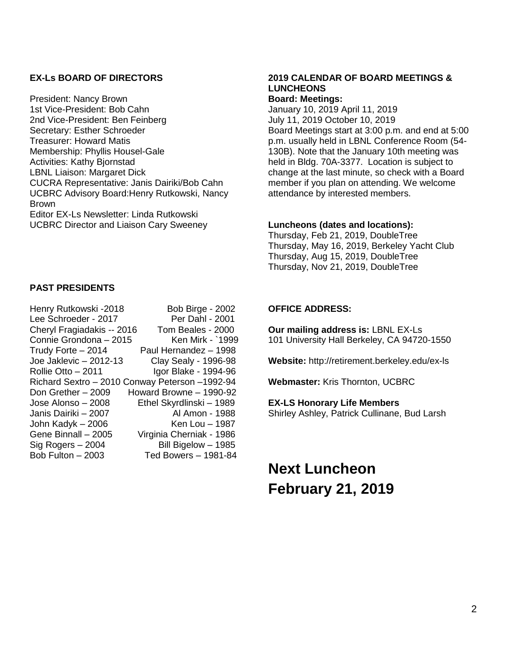#### **EX-Ls BOARD OF DIRECTORS**

President: Nancy Brown 1st Vice-President: Bob Cahn 2nd Vice-President: Ben Feinberg Secretary: Esther Schroeder Treasurer: Howard Matis Membership: Phyllis Housel-Gale Activities: Kathy Bjornstad LBNL Liaison: Margaret Dick CUCRA Representative: Janis Dairiki/Bob Cahn UCBRC Advisory Board:Henry Rutkowski, Nancy Brown Editor EX-Ls Newsletter: Linda Rutkowski UCBRC Director and Liaison Cary Sweeney

#### **PAST PRESIDENTS**

| Henry Rutkowski -2018                          | Bob Birge - 2002            |
|------------------------------------------------|-----------------------------|
| Lee Schroeder - 2017                           | Per Dahl - 2001             |
| Cheryl Fragiadakis -- 2016                     | Tom Beales - 2000           |
| Connie Grondona - 2015                         | Ken Mirk - `1999            |
| Trudy Forte - 2014                             | Paul Hernandez - 1998       |
| Joe Jaklevic - 2012-13                         | <b>Clay Sealy - 1996-98</b> |
| Rollie Otto - 2011                             | Igor Blake - 1994-96        |
| Richard Sextro - 2010 Conway Peterson -1992-94 |                             |
| Don Grether - 2009                             | Howard Browne - 1990-92     |
| Jose Alonso - 2008                             | Ethel Skyrdlinski - 1989    |
| Janis Dairiki - 2007                           | Al Amon - 1988              |
| John Kadyk - 2006                              | Ken Lou - 1987              |
| Gene Binnall - 2005                            | Virginia Cherniak - 1986    |
| Sig Rogers - 2004                              | Bill Bigelow - 1985         |
| Bob Fulton - 2003                              | Ted Bowers - 1981-84        |

## **2019 CALENDAR OF BOARD MEETINGS & LUNCHEONS**

#### **Board: Meetings:**  January 10, 2019 April 11, 2019

July 11, 2019 October 10, 2019 Board Meetings start at 3:00 p.m. and end at 5:00 p.m. usually held in LBNL Conference Room (54- 130B). Note that the January 10th meeting was held in Bldg. 70A-3377. Location is subject to change at the last minute, so check with a Board member if you plan on attending. We welcome attendance by interested members.

#### **Luncheons (dates and locations):**

Thursday, Feb 21, 2019, DoubleTree Thursday, May 16, 2019, Berkeley Yacht Club Thursday, Aug 15, 2019, DoubleTree Thursday, Nov 21, 2019, DoubleTree

#### **OFFICE ADDRESS:**

**Our mailing address is:** LBNL EX-Ls 101 University Hall Berkeley, CA 94720-1550

**Website:** http://retirement.berkeley.edu/ex-ls

**Webmaster:** Kris Thornton, UCBRC

#### **EX-LS Honorary Life Members**

Shirley Ashley, Patrick Cullinane, Bud Larsh

# **Next Luncheon February 21, 2019**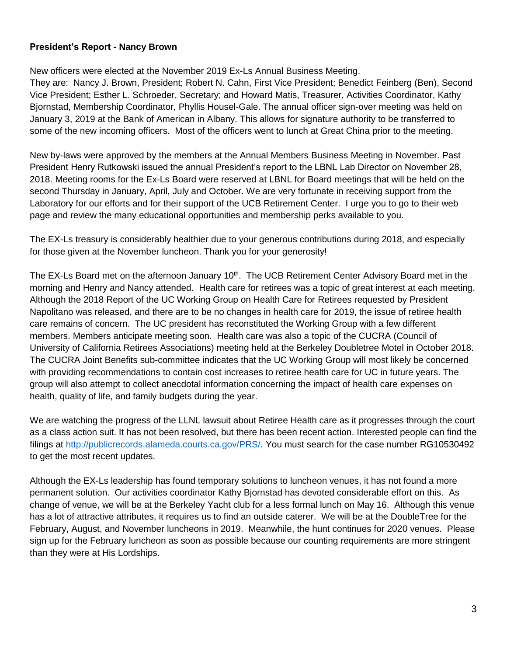#### **President's Report - Nancy Brown**

New officers were elected at the November 2019 Ex-Ls Annual Business Meeting.

They are: Nancy J. Brown, President; Robert N. Cahn, First Vice President; Benedict Feinberg (Ben), Second Vice President; Esther L. Schroeder, Secretary; and Howard Matis, Treasurer, Activities Coordinator, Kathy Bjornstad, Membership Coordinator, Phyllis Housel-Gale. The annual officer sign-over meeting was held on January 3, 2019 at the Bank of American in Albany. This allows for signature authority to be transferred to some of the new incoming officers. Most of the officers went to lunch at Great China prior to the meeting.

New by-laws were approved by the members at the Annual Members Business Meeting in November. Past President Henry Rutkowski issued the annual President's report to the LBNL Lab Director on November 28, 2018. Meeting rooms for the Ex-Ls Board were reserved at LBNL for Board meetings that will be held on the second Thursday in January, April, July and October. We are very fortunate in receiving support from the Laboratory for our efforts and for their support of the UCB Retirement Center. I urge you to go to their web page and review the many educational opportunities and membership perks available to you.

The EX-Ls treasury is considerably healthier due to your generous contributions during 2018, and especially for those given at the November luncheon. Thank you for your generosity!

The EX-Ls Board met on the afternoon January 10<sup>th</sup>. The UCB Retirement Center Advisory Board met in the morning and Henry and Nancy attended. Health care for retirees was a topic of great interest at each meeting. Although the 2018 Report of the UC Working Group on Health Care for Retirees requested by President Napolitano was released, and there are to be no changes in health care for 2019, the issue of retiree health care remains of concern. The UC president has reconstituted the Working Group with a few different members. Members anticipate meeting soon. Health care was also a topic of the CUCRA (Council of University of California Retirees Associations) meeting held at the Berkeley Doubletree Motel in October 2018. The CUCRA Joint Benefits sub-committee indicates that the UC Working Group will most likely be concerned with providing recommendations to contain cost increases to retiree health care for UC in future years. The group will also attempt to collect anecdotal information concerning the impact of health care expenses on health, quality of life, and family budgets during the year.

We are watching the progress of the LLNL lawsuit about Retiree Health care as it progresses through the court as a class action suit. It has not been resolved, but there has been recent action. Interested people can find the filings at [http://publicrecords.alameda.courts.ca.gov/PRS/.](http://publicrecords.alameda.courts.ca.gov/PRS/) You must search for the case number RG10530492 to get the most recent updates.

Although the EX-Ls leadership has found temporary solutions to luncheon venues, it has not found a more permanent solution. Our activities coordinator Kathy Bjornstad has devoted considerable effort on this. As change of venue, we will be at the Berkeley Yacht club for a less formal lunch on May 16. Although this venue has a lot of attractive attributes, it requires us to find an outside caterer. We will be at the DoubleTree for the February, August, and November luncheons in 2019. Meanwhile, the hunt continues for 2020 venues. Please sign up for the February luncheon as soon as possible because our counting requirements are more stringent than they were at His Lordships.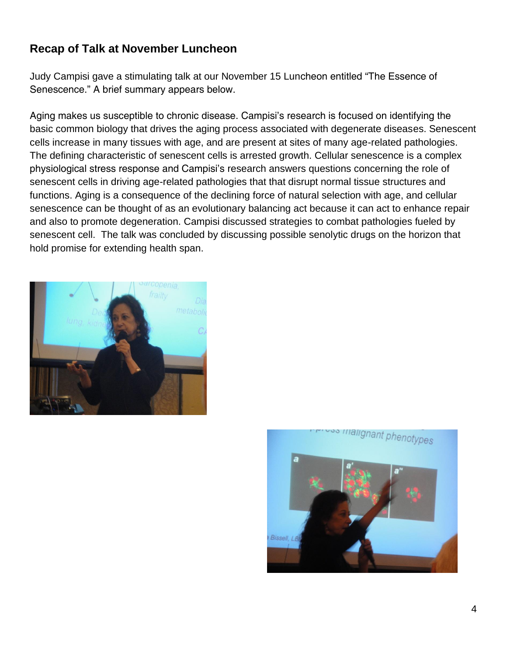## **Recap of Talk at November Luncheon**

Judy Campisi gave a stimulating talk at our November 15 Luncheon entitled "The Essence of Senescence." A brief summary appears below.

Aging makes us susceptible to chronic disease. Campisi's research is focused on identifying the basic common biology that drives the aging process associated with degenerate diseases. Senescent cells increase in many tissues with age, and are present at sites of many age-related pathologies. The defining characteristic of senescent cells is arrested growth. Cellular senescence is a complex physiological stress response and Campisi's research answers questions concerning the role of senescent cells in driving age-related pathologies that that disrupt normal tissue structures and functions. Aging is a consequence of the declining force of natural selection with age, and cellular senescence can be thought of as an evolutionary balancing act because it can act to enhance repair and also to promote degeneration. Campisi discussed strategies to combat pathologies fueled by senescent cell. The talk was concluded by discussing possible senolytic drugs on the horizon that hold promise for extending health span.



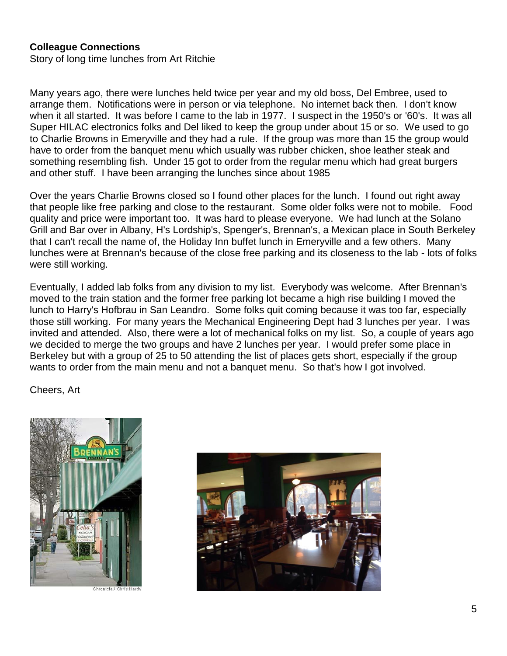### **Colleague Connections**

Story of long time lunches from Art Ritchie

Many years ago, there were lunches held twice per year and my old boss, Del Embree, used to arrange them. Notifications were in person or via telephone. No internet back then. I don't know when it all started. It was before I came to the lab in 1977. I suspect in the 1950's or '60's. It was all Super HILAC electronics folks and Del liked to keep the group under about 15 or so. We used to go to Charlie Browns in Emeryville and they had a rule. If the group was more than 15 the group would have to order from the banquet menu which usually was rubber chicken, shoe leather steak and something resembling fish. Under 15 got to order from the regular menu which had great burgers and other stuff. I have been arranging the lunches since about 1985

Over the years Charlie Browns closed so I found other places for the lunch. I found out right away that people like free parking and close to the restaurant. Some older folks were not to mobile. Food quality and price were important too. It was hard to please everyone. We had lunch at the Solano Grill and Bar over in Albany, H's Lordship's, Spenger's, Brennan's, a Mexican place in South Berkeley that I can't recall the name of, the Holiday Inn buffet lunch in Emeryville and a few others. Many lunches were at Brennan's because of the close free parking and its closeness to the lab - lots of folks were still working.

Eventually, I added lab folks from any division to my list. Everybody was welcome. After Brennan's moved to the train station and the former free parking lot became a high rise building I moved the lunch to Harry's Hofbrau in San Leandro. Some folks quit coming because it was too far, especially those still working. For many years the Mechanical Engineering Dept had 3 lunches per year. I was invited and attended. Also, there were a lot of mechanical folks on my list. So, a couple of years ago we decided to merge the two groups and have 2 lunches per year. I would prefer some place in Berkeley but with a group of 25 to 50 attending the list of places gets short, especially if the group wants to order from the main menu and not a banquet menu. So that's how I got involved.

Cheers, Art



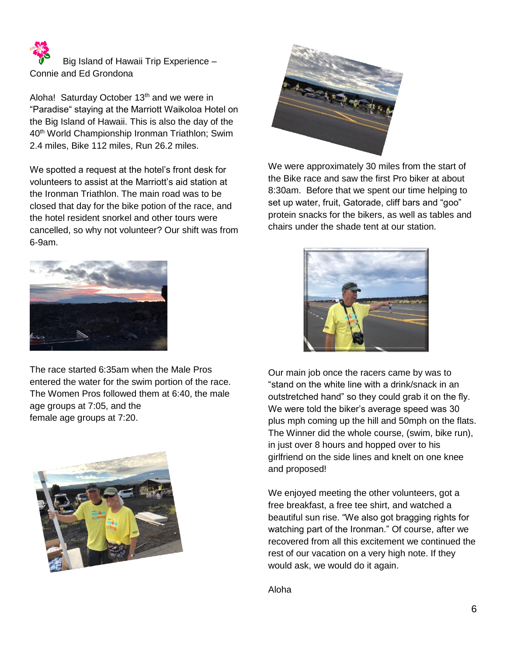Big Island of Hawaii Trip Experience – Connie and Ed Grondona

Aloha! Saturday October 13<sup>th</sup> and we were in "Paradise" staying at the Marriott Waikoloa Hotel on the Big Island of Hawaii. This is also the day of the 40th World Championship Ironman Triathlon; Swim 2.4 miles, Bike 112 miles, Run 26.2 miles.

We spotted a request at the hotel's front desk for volunteers to assist at the Marriott's aid station at the Ironman Triathlon. The main road was to be closed that day for the bike potion of the race, and the hotel resident snorkel and other tours were cancelled, so why not volunteer? Our shift was from 6-9am.



The race started 6:35am when the Male Pros entered the water for the swim portion of the race. The Women Pros followed them at 6:40, the male age groups at 7:05, and the female age groups at 7:20.





We were approximately 30 miles from the start of the Bike race and saw the first Pro biker at about 8:30am. Before that we spent our time helping to set up water, fruit, Gatorade, cliff bars and "goo" protein snacks for the bikers, as well as tables and chairs under the shade tent at our station.



Our main job once the racers came by was to "stand on the white line with a drink/snack in an outstretched hand" so they could grab it on the fly. We were told the biker's average speed was 30 plus mph coming up the hill and 50mph on the flats. The Winner did the whole course, (swim, bike run), in just over 8 hours and hopped over to his girlfriend on the side lines and knelt on one knee and proposed!

We enjoyed meeting the other volunteers, got a free breakfast, a free tee shirt, and watched a beautiful sun rise. "We also got bragging rights for watching part of the Ironman." Of course, after we recovered from all this excitement we continued the rest of our vacation on a very high note. If they would ask, we would do it again.

Aloha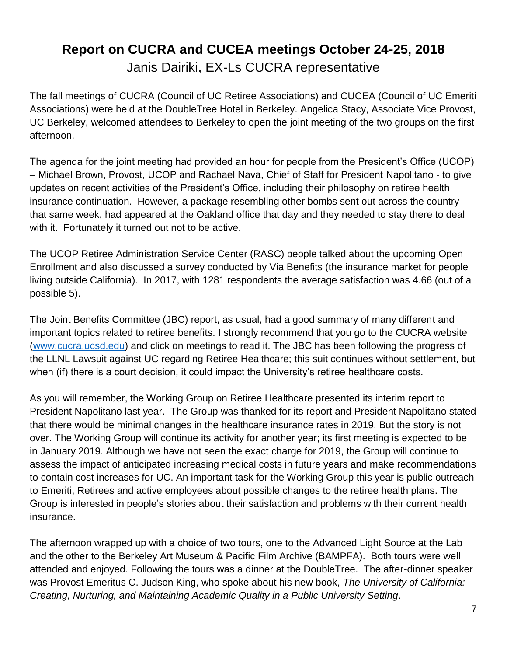## **Report on CUCRA and CUCEA meetings October 24-25, 2018** Janis Dairiki, EX-Ls CUCRA representative

The fall meetings of CUCRA (Council of UC Retiree Associations) and CUCEA (Council of UC Emeriti Associations) were held at the DoubleTree Hotel in Berkeley. Angelica Stacy, Associate Vice Provost, UC Berkeley, welcomed attendees to Berkeley to open the joint meeting of the two groups on the first afternoon.

The agenda for the joint meeting had provided an hour for people from the President's Office (UCOP) – Michael Brown, Provost, UCOP and Rachael Nava, Chief of Staff for President Napolitano - to give updates on recent activities of the President's Office, including their philosophy on retiree health insurance continuation. However, a package resembling other bombs sent out across the country that same week, had appeared at the Oakland office that day and they needed to stay there to deal with it. Fortunately it turned out not to be active.

The UCOP Retiree Administration Service Center (RASC) people talked about the upcoming Open Enrollment and also discussed a survey conducted by Via Benefits (the insurance market for people living outside California). In 2017, with 1281 respondents the average satisfaction was 4.66 (out of a possible 5).

The Joint Benefits Committee (JBC) report, as usual, had a good summary of many different and important topics related to retiree benefits. I strongly recommend that you go to the CUCRA website [\(www.cucra.ucsd.edu\)](http://www.cucra.ucsd.edu/) and click on meetings to read it. The JBC has been following the progress of the LLNL Lawsuit against UC regarding Retiree Healthcare; this suit continues without settlement, but when (if) there is a court decision, it could impact the University's retiree healthcare costs.

As you will remember, the Working Group on Retiree Healthcare presented its interim report to President Napolitano last year. The Group was thanked for its report and President Napolitano stated that there would be minimal changes in the healthcare insurance rates in 2019. But the story is not over. The Working Group will continue its activity for another year; its first meeting is expected to be in January 2019. Although we have not seen the exact charge for 2019, the Group will continue to assess the impact of anticipated increasing medical costs in future years and make recommendations to contain cost increases for UC. An important task for the Working Group this year is public outreach to Emeriti, Retirees and active employees about possible changes to the retiree health plans. The Group is interested in people's stories about their satisfaction and problems with their current health insurance.

The afternoon wrapped up with a choice of two tours, one to the Advanced Light Source at the Lab and the other to the Berkeley Art Museum & Pacific Film Archive (BAMPFA). Both tours were well attended and enjoyed. Following the tours was a dinner at the DoubleTree. The after-dinner speaker was Provost Emeritus C. Judson King, who spoke about his new book, *The University of California: Creating, Nurturing, and Maintaining Academic Quality in a Public University Setting*.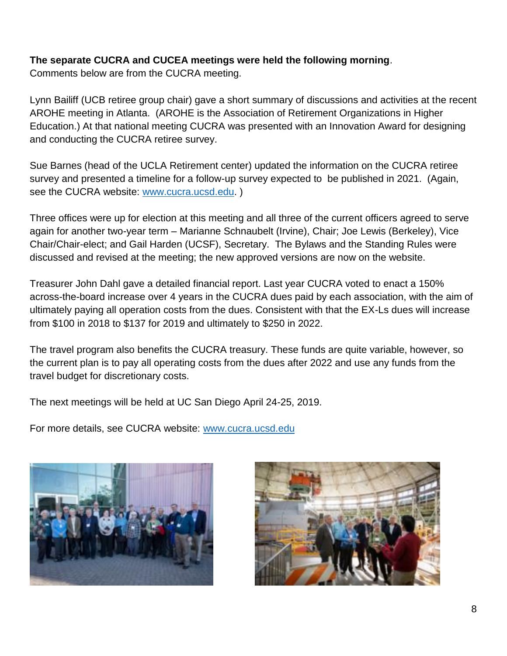## **The separate CUCRA and CUCEA meetings were held the following morning**.

Comments below are from the CUCRA meeting.

Lynn Bailiff (UCB retiree group chair) gave a short summary of discussions and activities at the recent AROHE meeting in Atlanta. (AROHE is the Association of Retirement Organizations in Higher Education.) At that national meeting CUCRA was presented with an Innovation Award for designing and conducting the CUCRA retiree survey.

Sue Barnes (head of the UCLA Retirement center) updated the information on the CUCRA retiree survey and presented a timeline for a follow-up survey expected to be published in 2021. (Again, see the CUCRA website: [www.cucra.ucsd.edu.](http://www.cucra.ucsd.edu/) )

Three offices were up for election at this meeting and all three of the current officers agreed to serve again for another two-year term – Marianne Schnaubelt (Irvine), Chair; Joe Lewis (Berkeley), Vice Chair/Chair-elect; and Gail Harden (UCSF), Secretary. The Bylaws and the Standing Rules were discussed and revised at the meeting; the new approved versions are now on the website.

Treasurer John Dahl gave a detailed financial report. Last year CUCRA voted to enact a 150% across-the-board increase over 4 years in the CUCRA dues paid by each association, with the aim of ultimately paying all operation costs from the dues. Consistent with that the EX-Ls dues will increase from \$100 in 2018 to \$137 for 2019 and ultimately to \$250 in 2022.

The travel program also benefits the CUCRA treasury. These funds are quite variable, however, so the current plan is to pay all operating costs from the dues after 2022 and use any funds from the travel budget for discretionary costs.

The next meetings will be held at UC San Diego April 24-25, 2019.

For more details, see CUCRA website: [www.cucra.ucsd.edu](http://www.cucra.ucsd.edu/)



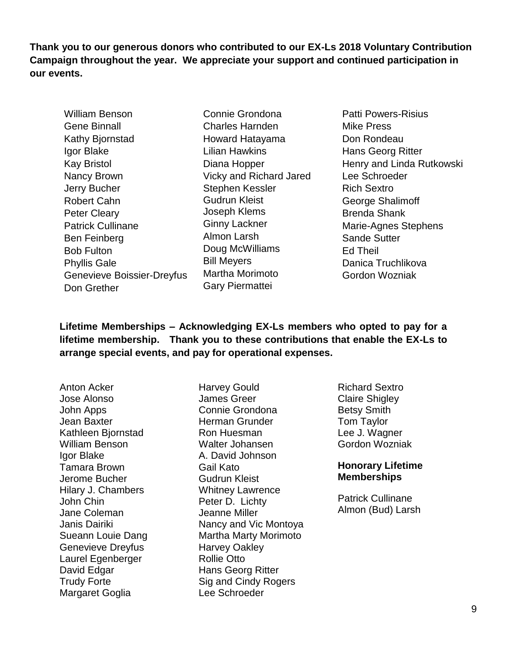**Thank you to our generous donors who contributed to our EX-Ls 2018 Voluntary Contribution Campaign throughout the year. We appreciate your support and continued participation in our events.** 

- William Benson Gene Binnall Kathy Bjornstad Igor Blake Kay Bristol Nancy Brown Jerry Bucher Robert Cahn Peter Cleary Patrick Cullinane Ben Feinberg Bob Fulton Phyllis Gale Genevieve Boissier-Dreyfus Don Grether
	- Connie Grondona Charles Harnden Howard Hatayama Lilian Hawkins Diana Hopper Vicky and Richard Jared Stephen Kessler Gudrun Kleist Joseph Klems Ginny Lackner Almon Larsh Doug McWilliams Bill Meyers Martha Morimoto Gary Piermattei
- Patti Powers-Risius Mike Press Don Rondeau Hans Georg Ritter Henry and Linda Rutkowski Lee Schroeder Rich Sextro George Shalimoff Brenda Shank Marie-Agnes Stephens Sande Sutter Ed Theil Danica Truchlikova Gordon Wozniak

**Lifetime Memberships – Acknowledging EX-Ls members who opted to pay for a lifetime membership. Thank you to these contributions that enable the EX-Ls to arrange special events, and pay for operational expenses.** 

Anton Acker Jose Alonso John Apps Jean Baxter Kathleen Bjornstad William Benson Igor Blake Tamara Brown Jerome Bucher Hilary J. Chambers John Chin Jane Coleman Janis Dairiki Sueann Louie Dang Genevieve Dreyfus Laurel Egenberger David Edgar Trudy Forte Margaret Goglia

Harvey Gould James Greer Connie Grondona Herman Grunder Ron Huesman Walter Johansen A. David Johnson Gail Kato Gudrun Kleist Whitney Lawrence Peter D. Lichty Jeanne Miller Nancy and Vic Montoya Martha Marty Morimoto Harvey Oakley Rollie Otto Hans Georg Ritter Sig and Cindy Rogers Lee Schroeder

Richard Sextro Claire Shigley Betsy Smith Tom Taylor Lee J. Wagner Gordon Wozniak

### **Honorary Lifetime Memberships**

Patrick Cullinane Almon (Bud) Larsh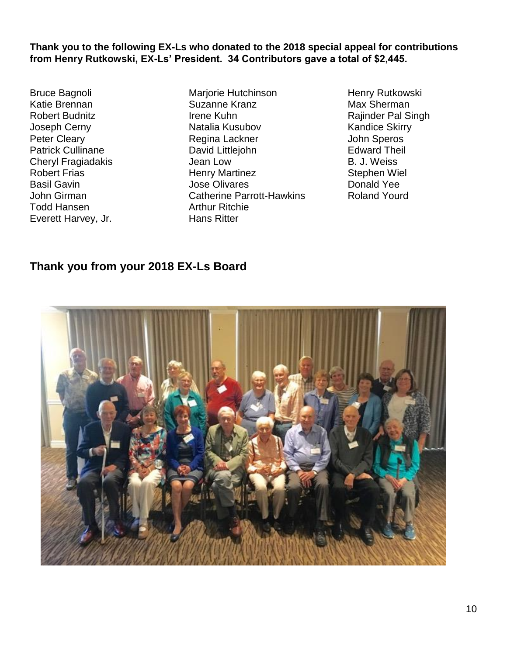**Thank you to the following EX-Ls who donated to the 2018 special appeal for contributions from Henry Rutkowski, EX-Ls' President. 34 Contributors gave a total of \$2,445.** 

Bruce Bagnoli Katie Brennan Robert Budnitz Joseph Cerny Peter Cleary Patrick Cullinane Cheryl Fragiadakis Robert Frias Basil Gavin John Girman Todd Hansen Everett Harvey, Jr.

Marjorie Hutchinson Suzanne Kranz Irene Kuhn Natalia Kusubov Regina Lackner David Littlejohn Jean Low Henry Martinez Jose Olivares Catherine Parrott-Hawkins Arthur Ritchie Hans Ritter

Henry Rutkowski Max Sherman Rajinder Pal Singh Kandice Skirry John Speros Edward Theil B. J. Weiss Stephen Wiel Donald Yee Roland Yourd

## **Thank you from your 2018 EX-Ls Board**

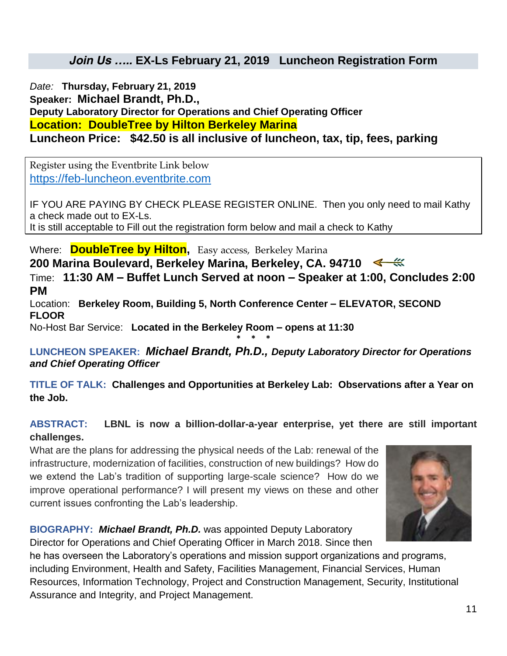## *Join Us ….. EX-Ls February 21, 2019 Luncheon Registration Form*

*Date:* **Thursday, February 21, 2019** *Speaker: Michael Brandt, Ph.D., Deputy Laboratory Director for Operations and Chief Operating Officer Location: DoubleTree by Hilton Berkeley Marina Luncheon Price: \$42.50 is all inclusive of luncheon, tax, tip, fees, parking*

Register using the Eventbrite Link below [https://feb-luncheon.eventbrite.com](https://feb-luncheon.eventbrite.com/)

IF YOU ARE PAYING BY CHECK PLEASE REGISTER ONLINE. Then you only need to mail Kathy a check made out to EX-Ls. It is still acceptable to Fill out the registration form below and mail a check to Kathy

*Where:* **DoubleTree by Hilton,** Easy access, Berkeley Marina

**200 Marina Boulevard, Berkeley Marina, Berkeley, CA. 94710** 

*Time:* **11:30 AM – Buffet Lunch Served at noon – Speaker at 1:00, Concludes 2:00 PM**

*Location:* **Berkeley Room, Building 5, North Conference Center – ELEVATOR, SECOND FLOOR** 

*No-Host Bar Service:* **Located in the Berkeley Room – opens at 11:30 \* \* \***

**LUNCHEON SPEAKER:** *Michael Brandt, Ph.D., Deputy Laboratory Director for Operations and Chief Operating Officer* 

**TITLE OF TALK: Challenges and Opportunities at Berkeley Lab: Observations after a Year on the Job.**

## **ABSTRACT: LBNL is now a billion-dollar-a-year enterprise, yet there are still important challenges.**

What are the plans for addressing the physical needs of the Lab: renewal of the infrastructure, modernization of facilities, construction of new buildings? How do we extend the Lab's tradition of supporting large-scale science? How do we improve operational performance? I will present my views on these and other current issues confronting the Lab's leadership.



**BIOGRAPHY:** *Michael Brandt, Ph.D.* was appointed Deputy Laboratory Director for Operations and Chief Operating Officer in March 2018. Since then

he has overseen the Laboratory's operations and mission support organizations and programs, including Environment, Health and Safety, Facilities Management, Financial Services, Human Resources, Information Technology, Project and Construction Management, Security, Institutional Assurance and Integrity, and Project Management.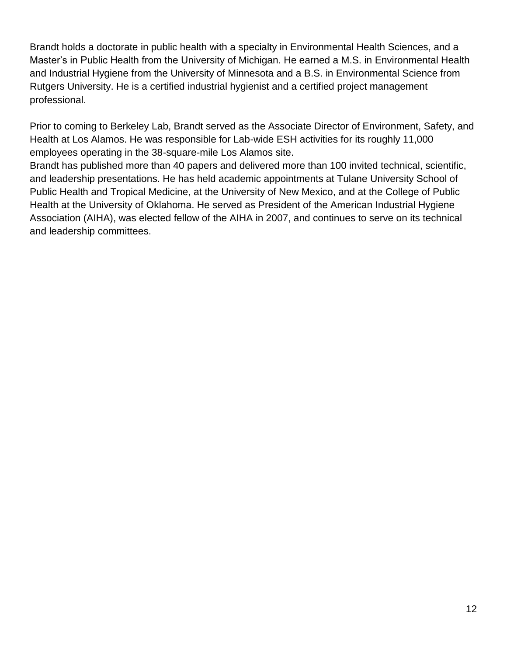Brandt holds a doctorate in public health with a specialty in Environmental Health Sciences, and a Master's in Public Health from the University of Michigan. He earned a M.S. in Environmental Health and Industrial Hygiene from the University of Minnesota and a B.S. in Environmental Science from Rutgers University. He is a certified industrial hygienist and a certified project management professional.

Prior to coming to Berkeley Lab, Brandt served as the Associate Director of Environment, Safety, and Health at Los Alamos. He was responsible for Lab-wide ESH activities for its roughly 11,000 employees operating in the 38-square-mile Los Alamos site.

Brandt has published more than 40 papers and delivered more than 100 invited technical, scientific, and leadership presentations. He has held academic appointments at Tulane University School of Public Health and Tropical Medicine, at the University of New Mexico, and at the College of Public Health at the University of Oklahoma. He served as President of the American Industrial Hygiene Association (AIHA), was elected fellow of the AIHA in 2007, and continues to serve on its technical and leadership committees.